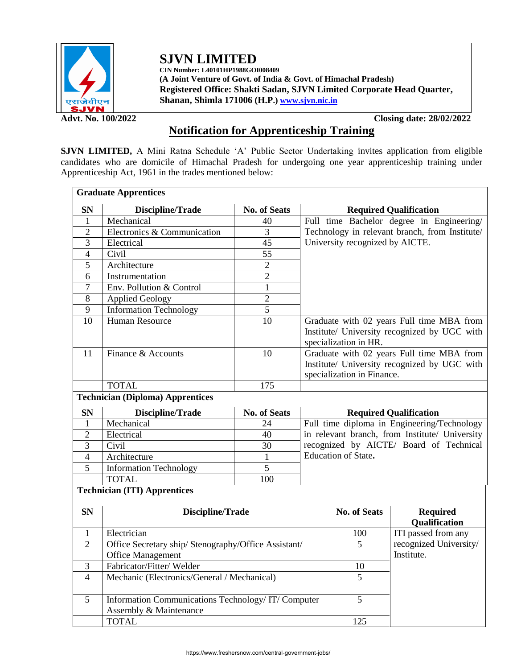

**SJVN LIMITED CIN Number: L40101HP1988GOI008409**

**(A Joint Venture of Govt. of India & Govt. of Himachal Pradesh) Registered Office: Shakti Sadan, SJVN Limited Corporate Head Quarter, Shanan, Shimla 171006 (H.P.[\) www.sjvn.nic.in](http://www.sjvn.nic.in/)**

**Advt. No. 100/2022 Closing date: 28/02/2022**

## **Notification for Apprenticeship Training**

**SJVN LIMITED,** A Mini Ratna Schedule 'A' Public Sector Undertaking invites application from eligible candidates who are domicile of Himachal Pradesh for undergoing one year apprenticeship training under Apprenticeship Act, 1961 in the trades mentioned below:

|                | <b>Graduate Apprentices</b>                                                 |                     |                                                                                                                                |                     |                                  |  |  |
|----------------|-----------------------------------------------------------------------------|---------------------|--------------------------------------------------------------------------------------------------------------------------------|---------------------|----------------------------------|--|--|
| <b>SN</b>      | <b>Discipline/Trade</b>                                                     | <b>No. of Seats</b> | <b>Required Qualification</b>                                                                                                  |                     |                                  |  |  |
| 1              | Mechanical                                                                  | 40                  | Full time Bachelor degree in Engineering/<br>Technology in relevant branch, from Institute/<br>University recognized by AICTE. |                     |                                  |  |  |
| $\overline{2}$ | Electronics & Communication                                                 | $\overline{3}$      |                                                                                                                                |                     |                                  |  |  |
| 3              | Electrical                                                                  | 45                  |                                                                                                                                |                     |                                  |  |  |
| 4              | Civil                                                                       | 55                  |                                                                                                                                |                     |                                  |  |  |
| 5              | Architecture                                                                | $\overline{2}$      |                                                                                                                                |                     |                                  |  |  |
| 6              | Instrumentation                                                             | $\overline{2}$      |                                                                                                                                |                     |                                  |  |  |
| $\tau$         | Env. Pollution & Control                                                    | $\mathbf{1}$        |                                                                                                                                |                     |                                  |  |  |
| 8              | <b>Applied Geology</b>                                                      | $\overline{2}$      |                                                                                                                                |                     |                                  |  |  |
| 9              | <b>Information Technology</b>                                               | 5                   |                                                                                                                                |                     |                                  |  |  |
| 10             | <b>Human Resource</b>                                                       | 10                  | Graduate with 02 years Full time MBA from<br>Institute/ University recognized by UGC with<br>specialization in HR.             |                     |                                  |  |  |
| 11             | Finance & Accounts                                                          | 10                  | Graduate with 02 years Full time MBA from<br>Institute/ University recognized by UGC with<br>specialization in Finance.        |                     |                                  |  |  |
|                | <b>TOTAL</b>                                                                | 175                 |                                                                                                                                |                     |                                  |  |  |
|                | <b>Technician (Diploma) Apprentices</b>                                     |                     |                                                                                                                                |                     |                                  |  |  |
| <b>SN</b>      | Discipline/Trade                                                            | <b>No. of Seats</b> | <b>Required Qualification</b>                                                                                                  |                     |                                  |  |  |
| 1              | Mechanical                                                                  | 24                  | Full time diploma in Engineering/Technology                                                                                    |                     |                                  |  |  |
| $\overline{c}$ | Electrical                                                                  | 40                  | in relevant branch, from Institute/ University                                                                                 |                     |                                  |  |  |
| 3              | Civil                                                                       | 30                  | recognized by AICTE/ Board of Technical                                                                                        |                     |                                  |  |  |
| $\overline{4}$ | Architecture                                                                | $\mathbf{1}$        | Education of State.                                                                                                            |                     |                                  |  |  |
| 5              | <b>Information Technology</b>                                               | 5                   |                                                                                                                                |                     |                                  |  |  |
|                | <b>TOTAL</b>                                                                | 100                 |                                                                                                                                |                     |                                  |  |  |
|                | <b>Technician (ITI) Apprentices</b>                                         |                     |                                                                                                                                |                     |                                  |  |  |
| <b>SN</b>      | <b>Discipline/Trade</b>                                                     |                     |                                                                                                                                | <b>No. of Seats</b> | <b>Required</b><br>Qualification |  |  |
| 1              | Electrician                                                                 |                     |                                                                                                                                | 100                 | ITI passed from any              |  |  |
| $\overline{2}$ | Office Secretary ship/ Stenography/Office Assistant/                        |                     |                                                                                                                                | 5                   | recognized University/           |  |  |
|                | <b>Office Management</b>                                                    |                     |                                                                                                                                |                     | Institute.                       |  |  |
| 3              | Fabricator/Fitter/Welder                                                    |                     |                                                                                                                                | 10                  |                                  |  |  |
| $\overline{4}$ | Mechanic (Electronics/General / Mechanical)                                 |                     | 5                                                                                                                              |                     |                                  |  |  |
| 5              | Information Communications Technology/IT/Computer<br>Assembly & Maintenance |                     |                                                                                                                                | $\overline{5}$      |                                  |  |  |
|                |                                                                             |                     |                                                                                                                                |                     |                                  |  |  |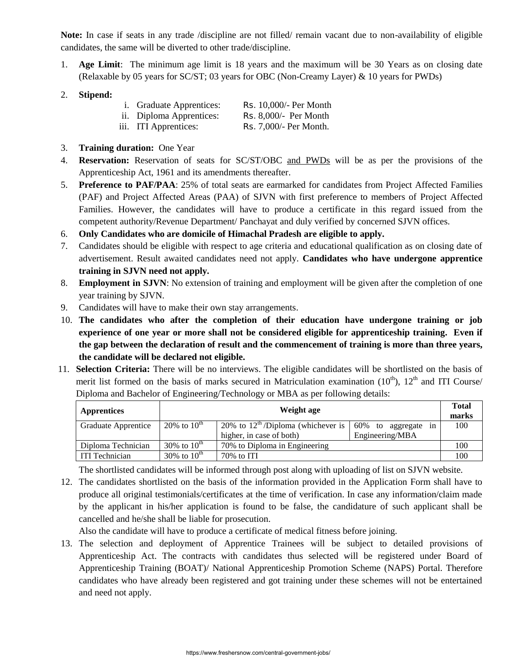**Note:** In case if seats in any trade /discipline are not filled/ remain vacant due to non-availability of eligible candidates, the same will be diverted to other trade/discipline.

- 1. **Age Limit**: The minimum age limit is 18 years and the maximum will be 30 Years as on closing date (Relaxable by 05 years for SC/ST; 03 years for OBC (Non-Creamy Layer) & 10 years for PWDs)
- 2. **Stipend:**

| <i>i.</i> Graduate Apprentices: | Rs. 10,000/- Per Month |
|---------------------------------|------------------------|
|---------------------------------|------------------------|

- ii. Diploma Apprentices: Rs. 8,000/- Per Month
- iii. ITI Apprentices: Rs. 7,000/- Per Month.
- 3. **Training duration:** One Year
- 4. **Reservation:** Reservation of seats for SC/ST/OBC and PWDs will be as per the provisions of the Apprenticeship Act, 1961 and its amendments thereafter.
- 5. **Preference to PAF/PAA**: 25% of total seats are earmarked for candidates from Project Affected Families (PAF) and Project Affected Areas (PAA) of SJVN with first preference to members of Project Affected Families. However, the candidates will have to produce a certificate in this regard issued from the competent authority/Revenue Department/ Panchayat and duly verified by concerned SJVN offices.
- 6. **Only Candidates who are domicile of Himachal Pradesh are eligible to apply.**
- 7. Candidates should be eligible with respect to age criteria and educational qualification as on closing date of advertisement. Result awaited candidates need not apply. **Candidates who have undergone apprentice training in SJVN need not apply.**
- 8. **Employment in SJVN**: No extension of training and employment will be given after the completion of one year training by SJVN.
- 9. Candidates will have to make their own stay arrangements.
- 10. **The candidates who after the completion of their education have undergone training or job experience of one year or more shall not be considered eligible for apprenticeship training. Even if the gap between the declaration of result and the commencement of training is more than three years, the candidate will be declared not eligible.**
- 11. **Selection Criteria:** There will be no interviews. The eligible candidates will be shortlisted on the basis of merit list formed on the basis of marks secured in Matriculation examination  $(10<sup>th</sup>)$ ,  $12<sup>th</sup>$  and ITI Course/ Diploma and Bachelor of Engineering/Technology or MBA as per following details:

| <b>Apprentices</b>                                         | Weight age                                        |                                                |                           |     |  |  |
|------------------------------------------------------------|---------------------------------------------------|------------------------------------------------|---------------------------|-----|--|--|
| Graduate Apprentice                                        | 20% to $10^{th}$                                  | 20% to $12^{\text{th}}$ /Diploma (whichever is | 60%<br>to aggregate<br>in | 100 |  |  |
|                                                            |                                                   | higher, in case of both)                       | Engineering/MBA           |     |  |  |
| Diploma Technician                                         | 30% to $10^{th}$<br>70% to Diploma in Engineering |                                                |                           | 100 |  |  |
| 30% to $10^{th}$<br><b>ITI Technician</b><br>$70\%$ to ITI |                                                   |                                                |                           | 100 |  |  |

The shortlisted candidates will be informed through post along with uploading of list on SJVN website.

12. The candidates shortlisted on the basis of the information provided in the Application Form shall have to produce all original testimonials/certificates at the time of verification. In case any information/claim made by the applicant in his/her application is found to be false, the candidature of such applicant shall be cancelled and he/she shall be liable for prosecution.

Also the candidate will have to produce a certificate of medical fitness before joining.

13. The selection and deployment of Apprentice Trainees will be subject to detailed provisions of Apprenticeship Act. The contracts with candidates thus selected will be registered under Board of Apprenticeship Training (BOAT)/ National Apprenticeship Promotion Scheme (NAPS) Portal. Therefore candidates who have already been registered and got training under these schemes will not be entertained and need not apply.